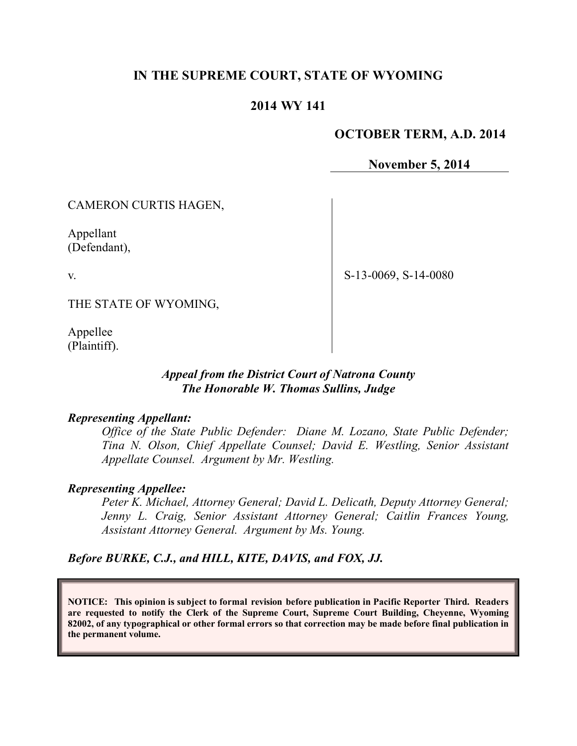# **IN THE SUPREME COURT, STATE OF WYOMING**

# **2014 WY 141**

# **OCTOBER TERM, A.D. 2014**

**November 5, 2014**

CAMERON CURTIS HAGEN,

Appellant (Defendant),

v.

S-13-0069, S-14-0080

THE STATE OF WYOMING,

Appellee (Plaintiff).

### *Appeal from the District Court of Natrona County The Honorable W. Thomas Sullins, Judge*

#### *Representing Appellant:*

*Office of the State Public Defender: Diane M. Lozano, State Public Defender; Tina N. Olson, Chief Appellate Counsel; David E. Westling, Senior Assistant Appellate Counsel. Argument by Mr. Westling.*

### *Representing Appellee:*

*Peter K. Michael, Attorney General; David L. Delicath, Deputy Attorney General; Jenny L. Craig, Senior Assistant Attorney General; Caitlin Frances Young, Assistant Attorney General. Argument by Ms. Young.*

*Before BURKE, C.J., and HILL, KITE, DAVIS, and FOX, JJ.*

**NOTICE: This opinion is subject to formal revision before publication in Pacific Reporter Third. Readers are requested to notify the Clerk of the Supreme Court, Supreme Court Building, Cheyenne, Wyoming 82002, of any typographical or other formal errors so that correction may be made before final publication in the permanent volume.**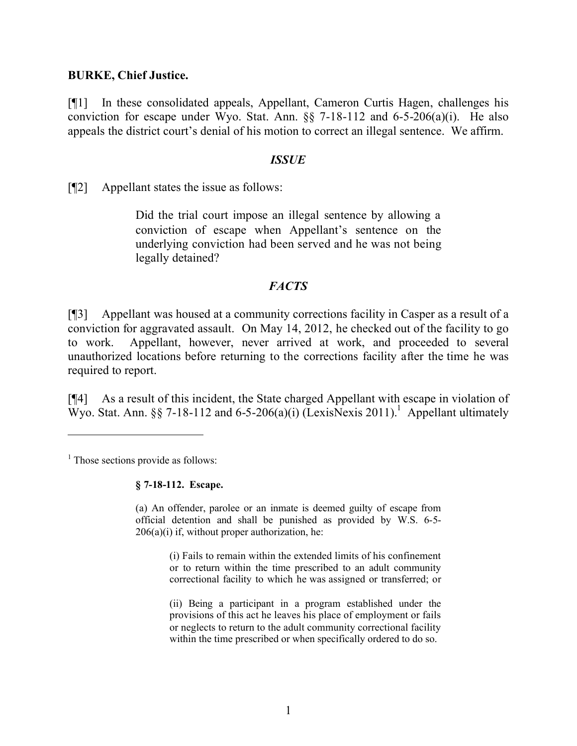### **BURKE, Chief Justice.**

[¶1] In these consolidated appeals, Appellant, Cameron Curtis Hagen, challenges his conviction for escape under Wyo. Stat. Ann.  $\S$  7-18-112 and 6-5-206(a)(i). He also appeals the district court's denial of his motion to correct an illegal sentence. We affirm.

#### *ISSUE*

[¶2] Appellant states the issue as follows:

Did the trial court impose an illegal sentence by allowing a conviction of escape when Appellant's sentence on the underlying conviction had been served and he was not being legally detained?

# *FACTS*

[¶3] Appellant was housed at a community corrections facility in Casper as a result of a conviction for aggravated assault. On May 14, 2012, he checked out of the facility to go to work. Appellant, however, never arrived at work, and proceeded to several unauthorized locations before returning to the corrections facility after the time he was required to report.

[¶4] As a result of this incident, the State charged Appellant with escape in violation of Wyo. Stat. Ann. §§ 7-18-112 and 6-5-206(a)(i) (LexisNexis 2011). Appellant ultimately

 $\overline{a}$ 

#### **§ 7-18-112. Escape.**

(a) An offender, parolee or an inmate is deemed guilty of escape from official detention and shall be punished as provided by W.S. 6-5-  $206(a)(i)$  if, without proper authorization, he:

> (i) Fails to remain within the extended limits of his confinement or to return within the time prescribed to an adult community correctional facility to which he was assigned or transferred; or

> (ii) Being a participant in a program established under the provisions of this act he leaves his place of employment or fails or neglects to return to the adult community correctional facility within the time prescribed or when specifically ordered to do so.

 $<sup>1</sup>$  Those sections provide as follows:</sup>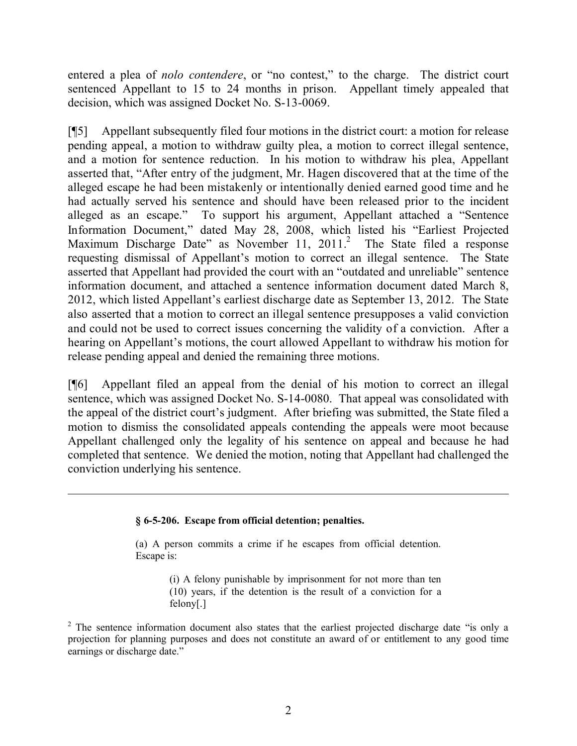entered a plea of *nolo contendere*, or "no contest," to the charge. The district court sentenced Appellant to 15 to 24 months in prison. Appellant timely appealed that decision, which was assigned Docket No. S-13-0069.

[¶5] Appellant subsequently filed four motions in the district court: a motion for release pending appeal, a motion to withdraw guilty plea, a motion to correct illegal sentence, and a motion for sentence reduction. In his motion to withdraw his plea, Appellant asserted that, "After entry of the judgment, Mr. Hagen discovered that at the time of the alleged escape he had been mistakenly or intentionally denied earned good time and he had actually served his sentence and should have been released prior to the incident alleged as an escape." To support his argument, Appellant attached a "Sentence Information Document," dated May 28, 2008, which listed his "Earliest Projected Maximum Discharge Date" as November 11, 2011.<sup>2</sup> The State filed a response requesting dismissal of Appellant's motion to correct an illegal sentence. The State asserted that Appellant had provided the court with an "outdated and unreliable" sentence information document, and attached a sentence information document dated March 8, 2012, which listed Appellant's earliest discharge date as September 13, 2012. The State also asserted that a motion to correct an illegal sentence presupposes a valid conviction and could not be used to correct issues concerning the validity of a conviction. After a hearing on Appellant's motions, the court allowed Appellant to withdraw his motion for release pending appeal and denied the remaining three motions.

[¶6] Appellant filed an appeal from the denial of his motion to correct an illegal sentence, which was assigned Docket No. S-14-0080. That appeal was consolidated with the appeal of the district court's judgment. After briefing was submitted, the State filed a motion to dismiss the consolidated appeals contending the appeals were moot because Appellant challenged only the legality of his sentence on appeal and because he had completed that sentence. We denied the motion, noting that Appellant had challenged the conviction underlying his sentence.

#### **§ 6-5-206. Escape from official detention; penalties.**

(a) A person commits a crime if he escapes from official detention. Escape is:

> (i) A felony punishable by imprisonment for not more than ten (10) years, if the detention is the result of a conviction for a felony[.]

<sup>&</sup>lt;sup>2</sup> The sentence information document also states that the earliest projected discharge date "is only a projection for planning purposes and does not constitute an award of or entitlement to any good time earnings or discharge date."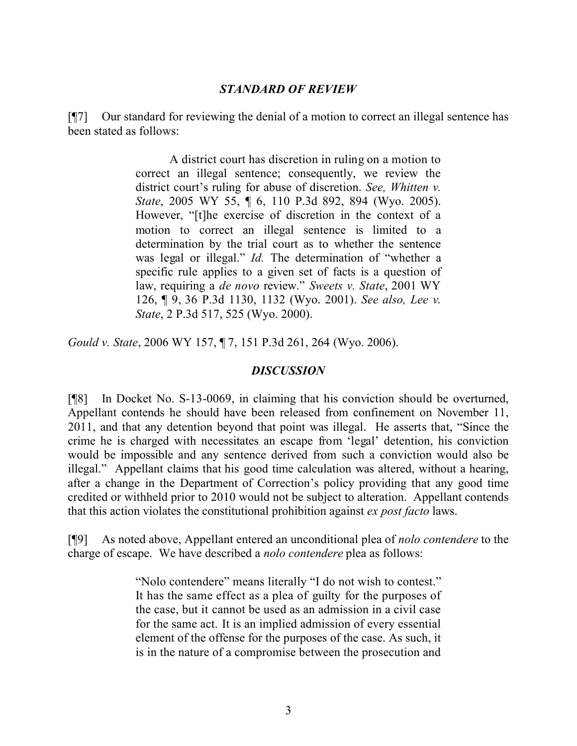# *STANDARD OF REVIEW*

[¶7] Our standard for reviewing the denial of a motion to correct an illegal sentence has been stated as follows:

> A district court has discretion in ruling on a motion to correct an illegal sentence; consequently, we review the district court's ruling for abuse of discretion. *See, Whitten v. State*, 2005 WY 55, ¶ 6, 110 P.3d 892, 894 (Wyo. 2005). However, "[t]he exercise of discretion in the context of a motion to correct an illegal sentence is limited to a determination by the trial court as to whether the sentence was legal or illegal." *Id.* The determination of "whether a specific rule applies to a given set of facts is a question of law, requiring a *de novo* review." *Sweets v. State*, 2001 WY 126, ¶ 9, 36 P.3d 1130, 1132 (Wyo. 2001). *See also, Lee v. State*, 2 P.3d 517, 525 (Wyo. 2000).

*Gould v. State*, 2006 WY 157, ¶ 7, 151 P.3d 261, 264 (Wyo. 2006).

# *DISCUSSION*

[¶8] In Docket No. S-13-0069, in claiming that his conviction should be overturned, Appellant contends he should have been released from confinement on November 11, 2011, and that any detention beyond that point was illegal. He asserts that, "Since the crime he is charged with necessitates an escape from 'legal' detention, his conviction would be impossible and any sentence derived from such a conviction would also be illegal." Appellant claims that his good time calculation was altered, without a hearing, after a change in the Department of Correction's policy providing that any good time credited or withheld prior to 2010 would not be subject to alteration. Appellant contends that this action violates the constitutional prohibition against *ex post facto* laws.

[¶9] As noted above, Appellant entered an unconditional plea of *nolo contendere* to the charge of escape. We have described a *nolo contendere* plea as follows:

> "Nolo contendere" means literally "I do not wish to contest." It has the same effect as a plea of guilty for the purposes of the case, but it cannot be used as an admission in a civil case for the same act. It is an implied admission of every essential element of the offense for the purposes of the case. As such, it is in the nature of a compromise between the prosecution and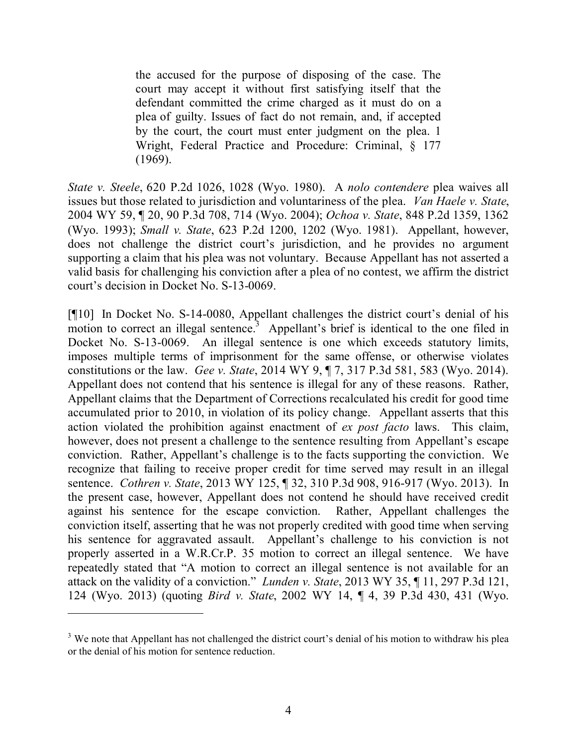the accused for the purpose of disposing of the case. The court may accept it without first satisfying itself that the defendant committed the crime charged as it must do on a plea of guilty. Issues of fact do not remain, and, if accepted by the court, the court must enter judgment on the plea. 1 Wright, Federal Practice and Procedure: Criminal, § 177 (1969).

*State v. Steele*, 620 P.2d 1026, 1028 (Wyo. 1980). A *nolo contendere* plea waives all issues but those related to jurisdiction and voluntariness of the plea. *Van Haele v. State*, 2004 WY 59, ¶ 20, 90 P.3d 708, 714 (Wyo. 2004); *Ochoa v. State*, 848 P.2d 1359, 1362 (Wyo. 1993); *Small v. State*, 623 P.2d 1200, 1202 (Wyo. 1981). Appellant, however, does not challenge the district court's jurisdiction, and he provides no argument supporting a claim that his plea was not voluntary. Because Appellant has not asserted a valid basis for challenging his conviction after a plea of no contest, we affirm the district court's decision in Docket No. S-13-0069.

[¶10] In Docket No. S-14-0080, Appellant challenges the district court's denial of his motion to correct an illegal sentence.<sup>3</sup> Appellant's brief is identical to the one filed in Docket No. S-13-0069. An illegal sentence is one which exceeds statutory limits, imposes multiple terms of imprisonment for the same offense, or otherwise violates constitutions or the law. *Gee v. State*, 2014 WY 9, ¶ 7, 317 P.3d 581, 583 (Wyo. 2014). Appellant does not contend that his sentence is illegal for any of these reasons. Rather, Appellant claims that the Department of Corrections recalculated his credit for good time accumulated prior to 2010, in violation of its policy change. Appellant asserts that this action violated the prohibition against enactment of *ex post facto* laws. This claim, however, does not present a challenge to the sentence resulting from Appellant's escape conviction. Rather, Appellant's challenge is to the facts supporting the conviction. We recognize that failing to receive proper credit for time served may result in an illegal sentence. *Cothren v. State*, 2013 WY 125, ¶ 32, 310 P.3d 908, 916-917 (Wyo. 2013). In the present case, however, Appellant does not contend he should have received credit against his sentence for the escape conviction. Rather, Appellant challenges the conviction itself, asserting that he was not properly credited with good time when serving his sentence for aggravated assault. Appellant's challenge to his conviction is not properly asserted in a W.R.Cr.P. 35 motion to correct an illegal sentence. We have repeatedly stated that "A motion to correct an illegal sentence is not available for an attack on the validity of a conviction." *Lunden v. State*, 2013 WY 35, ¶ 11, 297 P.3d 121, 124 (Wyo. 2013) (quoting *Bird v. State*, 2002 WY 14, ¶ 4, 39 P.3d 430, 431 (Wyo.

<sup>&</sup>lt;sup>3</sup> We note that Appellant has not challenged the district court's denial of his motion to withdraw his plea or the denial of his motion for sentence reduction.